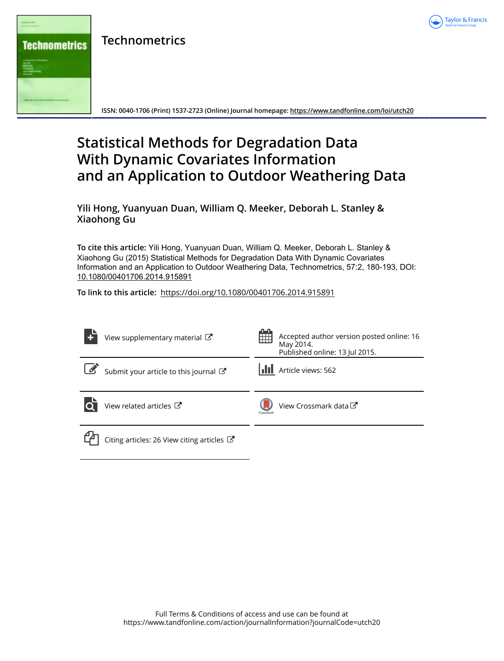

**Technometrics**



**ISSN: 0040-1706 (Print) 1537-2723 (Online) Journal homepage:<https://www.tandfonline.com/loi/utch20>**

## **Statistical Methods for Degradation Data With Dynamic Covariates Information and an Application to Outdoor Weathering Data**

**Yili Hong, Yuanyuan Duan, William Q. Meeker, Deborah L. Stanley & Xiaohong Gu**

**To cite this article:** Yili Hong, Yuanyuan Duan, William Q. Meeker, Deborah L. Stanley & Xiaohong Gu (2015) Statistical Methods for Degradation Data With Dynamic Covariates Information and an Application to Outdoor Weathering Data, Technometrics, 57:2, 180-193, DOI: [10.1080/00401706.2014.915891](https://www.tandfonline.com/action/showCitFormats?doi=10.1080/00401706.2014.915891)

**To link to this article:** <https://doi.org/10.1080/00401706.2014.915891>

| View supplementary material C                         | 鱛         | Accepted author version posted online: 16<br>May 2014.<br>Published online: 13 Jul 2015. |
|-------------------------------------------------------|-----------|------------------------------------------------------------------------------------------|
| Submit your article to this journal                   |           | <b>III</b> Article views: 562                                                            |
| View related articles C                               | CrossMark | View Crossmark data C                                                                    |
| Citing articles: 26 View citing articles $\mathbb{Z}$ |           |                                                                                          |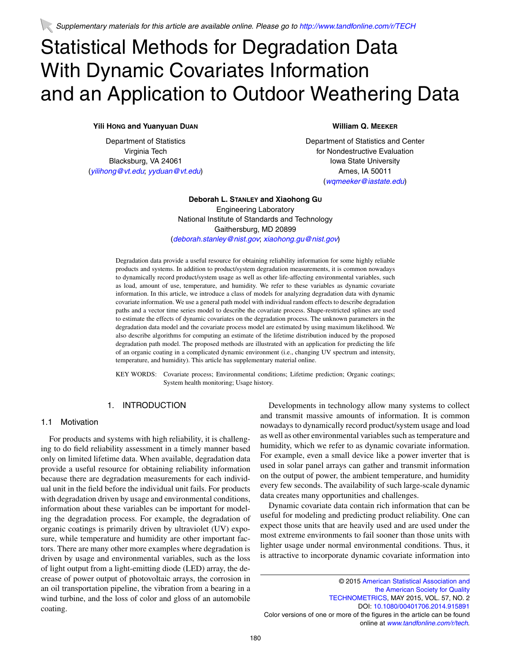# Statistical Methods for Degradation Data With Dynamic Covariates Information and an Application to Outdoor Weathering Data

## **Yili HONG and Yuanyuan DUAN**

Department of Statistics Virginia Tech Blacksburg, VA 24061 (*[yilihong@vt.edu](mailto:yilihong@vt.edu)*; *[yyduan@vt.edu](mailto:yyduan@vt.edu)*)

## **William Q. MEEKER**

Department of Statistics and Center for Nondestructive Evaluation Iowa State University Ames, IA 50011 (*[wqmeeker@iastate.edu](mailto:wqmeeker@iastate.edu)*)

## **Deborah L. STANLEY and Xiaohong GU** Engineering Laboratory

National Institute of Standards and Technology Gaithersburg, MD 20899 (*[deborah.stanley@nist.gov](mailto:deborah.stanley@nist.gov)*; *[xiaohong.gu@nist.gov](mailto:xiaohong.gu@nist.gov)*)

Degradation data provide a useful resource for obtaining reliability information for some highly reliable products and systems. In addition to product/system degradation measurements, it is common nowadays to dynamically record product/system usage as well as other life-affecting environmental variables, such as load, amount of use, temperature, and humidity. We refer to these variables as dynamic covariate information. In this article, we introduce a class of models for analyzing degradation data with dynamic covariate information. We use a general path model with individual random effects to describe degradation paths and a vector time series model to describe the covariate process. Shape-restricted splines are used to estimate the effects of dynamic covariates on the degradation process. The unknown parameters in the degradation data model and the covariate process model are estimated by using maximum likelihood. We also describe algorithms for computing an estimate of the lifetime distribution induced by the proposed degradation path model. The proposed methods are illustrated with an application for predicting the life of an organic coating in a complicated dynamic environment (i.e., changing UV spectrum and intensity, temperature, and humidity). This article has supplementary material online.

KEY WORDS: Covariate process; Environmental conditions; Lifetime prediction; Organic coatings; System health monitoring; Usage history.

### 1. INTRODUCTION

#### 1.1 Motivation

For products and systems with high reliability, it is challenging to do field reliability assessment in a timely manner based only on limited lifetime data. When available, degradation data provide a useful resource for obtaining reliability information because there are degradation measurements for each individual unit in the field before the individual unit fails. For products with degradation driven by usage and environmental conditions, information about these variables can be important for modeling the degradation process. For example, the degradation of organic coatings is primarily driven by ultraviolet (UV) exposure, while temperature and humidity are other important factors. There are many other more examples where degradation is driven by usage and environmental variables, such as the loss of light output from a light-emitting diode (LED) array, the decrease of power output of photovoltaic arrays, the corrosion in an oil transportation pipeline, the vibration from a bearing in a wind turbine, and the loss of color and gloss of an automobile coating.

Developments in technology allow many systems to collect and transmit massive amounts of information. It is common nowadays to dynamically record product/system usage and load as well as other environmental variables such as temperature and humidity, which we refer to as dynamic covariate information. For example, even a small device like a power inverter that is used in solar panel arrays can gather and transmit information on the output of power, the ambient temperature, and humidity every few seconds. The availability of such large-scale dynamic data creates many opportunities and challenges.

Dynamic covariate data contain rich information that can be useful for modeling and predicting product reliability. One can expect those units that are heavily used and are used under the most extreme environments to fail sooner than those units with lighter usage under normal environmental conditions. Thus, it is attractive to incorporate dynamic covariate information into

<sup>© 2015</sup> [American Statistical Association and](http://www.amstat.org) [the American Society for Quality](http://www.amstat.org) [TECHNOMETRICS,](http://pubs.amstat.org/loi/jasa) MAY 2015, VOL. 57, NO. 2 DOI: [10.1080/00401706.2014.915891](http://dx.doi.org/10.1080/00401706.2014.915891) Color versions of one or more of the figures in the article can be found online at *[www.tandfonline.com/r/tech](http://www.tandfonline.com/r/tech)*.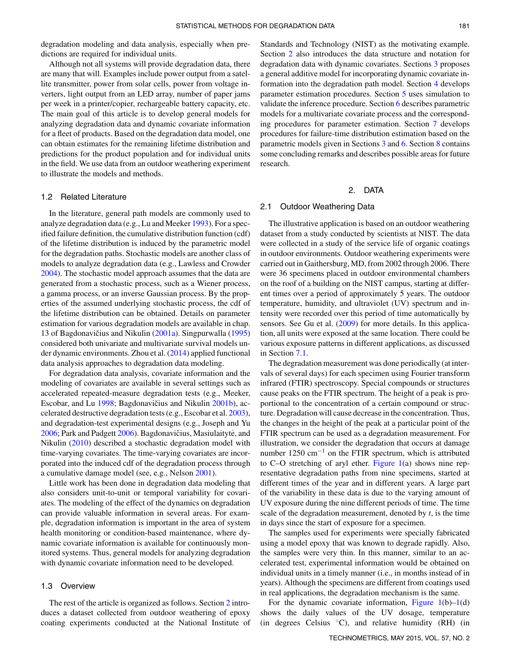degradation modeling and data analysis, especially when predictions are required for individual units.

Although not all systems will provide degradation data, there are many that will. Examples include power output from a satellite transmitter, power from solar cells, power from voltage inverters, light output from an LED array, number of paper jams per week in a printer/copier, rechargeable battery capacity, etc. The main goal of this article is to develop general models for analyzing degradation data and dynamic covariate information for a fleet of products. Based on the degradation data model, one can obtain estimates for the remaining lifetime distribution and predictions for the product population and for individual units in the field. We use data from an outdoor weathering experiment to illustrate the models and methods.

## 1.2 Related Literature

<span id="page-2-7"></span>In the literature, general path models are commonly used to analyze degradation data (e.g., Lu and Meeker [1993\)](#page-14-0). For a specified failure definition, the cumulative distribution function (cdf) of the lifetime distribution is induced by the parametric model for the degradation paths. Stochastic models are another class of models to analyze degradation data (e.g., Lawless and Crowder [2004\)](#page-14-1). The stochastic model approach assumes that the data are generated from a stochastic process, such as a Wiener process, a gamma process, or an inverse Gaussian process. By the properties of the assumed underlying stochastic process, the cdf of the lifetime distribution can be obtained. Details on parameter estimation for various degradation models are available in chap. 13 of Bagdonavičius and Nikulin ([2001a\)](#page-14-2). Singpurwalla [\(1995\)](#page-14-3) considered both univariate and multivariate survival models under dynamic environments. Zhou et al. [\(2014\)](#page-14-4) applied functional data analysis approaches to degradation data modeling.

<span id="page-2-9"></span>For degradation data analysis, covariate information and the modeling of covariates are available in several settings such as accelerated repeated-measure degradation tests (e.g., Meeker, Escobar, and Lu [1998;](#page-14-5) Bagdonavičius and Nikulin [2001b\)](#page-14-6), accelerated destructive degradation tests (e.g., Escobar et al. [2003\)](#page-14-7), and degradation-test experimental designs (e.g., Joseph and Yu  $2006$ ; Park and Padgett  $2006$ ). Bagdonavičius, Masiulaityte, and Nikulin [\(2010\)](#page-13-0) described a stochastic degradation model with time-varying covariates. The time-varying covariates are incorporated into the induced cdf of the degradation process through a cumulative damage model (see, e.g., Nelson [2001\)](#page-14-10).

<span id="page-2-11"></span><span id="page-2-6"></span><span id="page-2-1"></span>Little work has been done in degradation data modeling that also considers unit-to-unit or temporal variability for covariates. The modeling of the effect of the dynamics on degradation can provide valuable information in several areas. For example, degradation information is important in the area of system health monitoring or condition-based maintenance, where dynamic covariate information is available for continuously monitored systems. Thus, general models for analyzing degradation with dynamic covariate information need to be developed.

#### 1.3 Overview

The rest of the article is organized as follows. Section [2](#page-2-0) introduces a dataset collected from outdoor weathering of epoxy coating experiments conducted at the National Institute of Standards and Technology (NIST) as the motivating example. Section [2](#page-2-0) also introduces the data structure and notation for degradation data with dynamic covariates. Sections [3](#page-4-0) proposes a general additive model for incorporating dynamic covariate information into the degradation path model. Section [4](#page-5-0) develops parameter estimation procedures. Section [5](#page-6-0) uses simulation to validate the inference procedure. Section [6](#page-8-0) describes parametric models for a multivariate covariate process and the corresponding procedures for parameter estimation. Section [7](#page-11-0) develops procedures for failure-time distribution estimation based on the parametric models given in Sections [3](#page-4-0) and [6.](#page-8-0) Section [8](#page-12-0) contains some concluding remarks and describes possible areas for future research.

#### <span id="page-2-0"></span>2. DATA

#### 2.1 Outdoor Weathering Data

<span id="page-2-8"></span>The illustrative application is based on an outdoor weathering dataset from a study conducted by scientists at NIST. The data were collected in a study of the service life of organic coatings in outdoor environments. Outdoor weathering experiments were carried out in Gaithersburg, MD, from 2002 through 2006. There were 36 specimens placed in outdoor environmental chambers on the roof of a building on the NIST campus, starting at different times over a period of approximately 5 years. The outdoor temperature, humidity, and ultraviolet (UV) spectrum and intensity were recorded over this period of time automatically by sensors. See Gu et al. [\(2009\)](#page-14-11) for more details. In this application, all units were exposed at the same location. There could be various exposure patterns in different applications, as discussed in Section [7.1.](#page-11-1)

<span id="page-2-13"></span><span id="page-2-12"></span><span id="page-2-5"></span><span id="page-2-4"></span><span id="page-2-3"></span><span id="page-2-2"></span>The degradation measurement was done periodically (at intervals of several days) for each specimen using Fourier transform infrared (FTIR) spectroscopy. Special compounds or structures cause peaks on the FTIR spectrum. The height of a peak is proportional to the concentration of a certain compound or structure. Degradation will cause decrease in the concentration. Thus, the changes in the height of the peak at a particular point of the FTIR spectrum can be used as a degradation measurement. For illustration, we consider the degradation that occurs at damage number 1250 cm<sup>-1</sup> on the FTIR spectrum, which is attributed to C–O stretching of aryl ether. [Figure 1\(](#page-3-0)a) shows nine representative degradation paths from nine specimens, started at different times of the year and in different years. A large part of the variability in these data is due to the varying amount of UV exposure during the nine different periods of time. The time scale of the degradation measurement, denoted by *t*, is the time in days since the start of exposure for a specimen.

<span id="page-2-10"></span>The samples used for experiments were specially fabricated using a model epoxy that was known to degrade rapidly. Also, the samples were very thin. In this manner, similar to an accelerated test, experimental information would be obtained on individual units in a timely manner (i.e., in months instead of in years). Although the specimens are different from coatings used in real applications, the degradation mechanism is the same.

For the dynamic covariate information, Figure  $1(b)-1(d)$ shows the daily values of the UV dosage, temperature (in degrees Celsius  $\rm{^{\circ}C}$ ), and relative humidity (RH) (in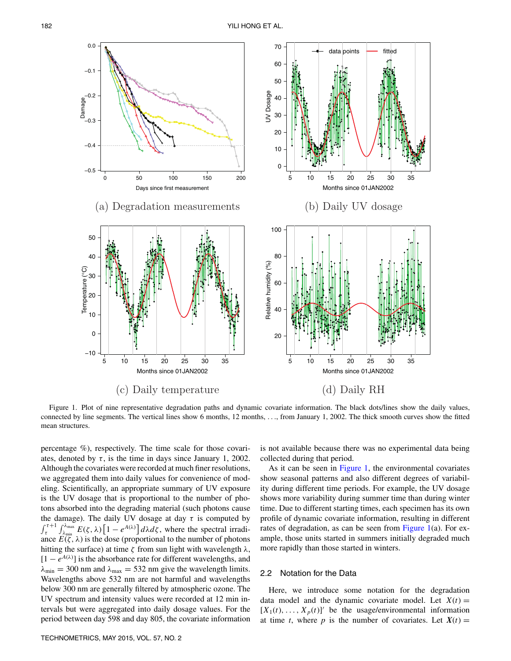<span id="page-3-0"></span>

Figure 1. Plot of nine representative degradation paths and dynamic covariate information. The black dots/lines show the daily values, connected by line segments. The vertical lines show 6 months, 12 months, *...*, from January 1, 2002. The thick smooth curves show the fitted mean structures.

percentage %), respectively. The time scale for those covariates, denoted by  $\tau$ , is the time in days since January 1, 2002. Although the covariates were recorded at much finer resolutions, we aggregated them into daily values for convenience of modeling. Scientifically, an appropriate summary of UV exposure is the UV dosage that is proportional to the number of photons absorbed into the degrading material (such photons cause the damage). The daily UV dosage at day  $\tau$  is computed by  $\int_{\tau}^{\tau+1}$  $\int_{\lambda_{min}}^{\lambda_{max}} E(\zeta, \lambda) \left[1 - e^{A(\lambda)}\right] d\lambda d\zeta$ , where the spectral irradiance  $E(\zeta, \lambda)$  is the dose (proportional to the number of photons hitting the surface) at time *ζ* from sun light with wavelength *λ*,  $[1 - e^{A(\lambda)}]$  is the absorbance rate for different wavelengths, and  $\lambda_{\text{min}} = 300$  nm and  $\lambda_{\text{max}} = 532$  nm give the wavelength limits. Wavelengths above 532 nm are not harmful and wavelengths below 300 nm are generally filtered by atmospheric ozone. The UV spectrum and intensity values were recorded at 12 min intervals but were aggregated into daily dosage values. For the period between day 598 and day 805, the covariate information is not available because there was no experimental data being collected during that period.

As it can be seen in [Figure 1,](#page-3-0) the environmental covariates show seasonal patterns and also different degrees of variability during different time periods. For example, the UV dosage shows more variability during summer time than during winter time. Due to different starting times, each specimen has its own profile of dynamic covariate information, resulting in different rates of degradation, as can be seen from Figure  $1(a)$ . For example, those units started in summers initially degraded much more rapidly than those started in winters.

## 2.2 Notation for the Data

Here, we introduce some notation for the degradation data model and the dynamic covariate model. Let  $X(t) =$  $[X_1(t),...,X_p(t)]'$  be the usage/environmental information at time *t*, where *p* is the number of covariates. Let  $X(t) =$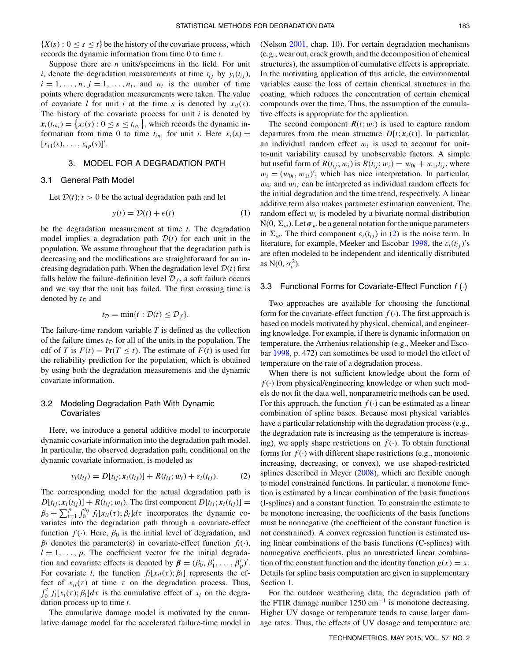${X(s) : 0 \le s \le t}$  be the history of the covariate process, which records the dynamic information from time 0 to time *t*.

Suppose there are *n* units/specimens in the field. For unit *i*, denote the degradation measurements at time  $t_{ij}$  by  $y_i(t_{ij})$ ,  $i = 1, \ldots, n, j = 1, \ldots, n_i$ , and  $n_i$  is the number of time points where degradation measurements were taken. The value of covariate *l* for unit *i* at the time *s* is denoted by  $x_{il}(s)$ . The history of the covariate process for unit *i* is denoted by  $\mathbf{x}_i(t_{in_i}) = \left\{ x_i(s) : 0 \le s \le t_{in_i} \right\}$ , which records the dynamic information from time 0 to time  $t_{in_i}$  for unit *i*. Here  $x_i(s) =$  $[x_{i1}(s),...,x_{ip}(s)]'.$ 

## 3. MODEL FOR A DEGRADATION PATH

#### 3.1 General Path Model

Let  $D(t)$ ;  $t > 0$  be the actual degradation path and let

$$
y(t) = \mathcal{D}(t) + \epsilon(t) \tag{1}
$$

be the degradation measurement at time *t*. The degradation model implies a degradation path  $D(t)$  for each unit in the population. We assume throughout that the degradation path is decreasing and the modifications are straightforward for an increasing degradation path. When the degradation level  $D(t)$  first falls below the failure-definition level  $\mathcal{D}_f$ , a soft failure occurs and we say that the unit has failed. The first crossing time is denoted by *t<sup>D</sup>* and

$$
t_{\mathcal{D}} = \min\{t : \mathcal{D}(t) \leq \mathcal{D}_f\}.
$$

The failure-time random variable *T* is defined as the collection of the failure times  $t_D$  for all of the units in the population. The cdf of *T* is  $F(t) = Pr(T < t)$ . The estimate of  $F(t)$  is used for the reliability prediction for the population, which is obtained by using both the degradation measurements and the dynamic covariate information.

## 3.2 Modeling Degradation Path With Dynamic Covariates

Here, we introduce a general additive model to incorporate dynamic covariate information into the degradation path model. In particular, the observed degradation path, conditional on the dynamic covariate information, is modeled as

$$
y_i(t_{ij}) = D[t_{ij}; x_i(t_{ij})] + R(t_{ij}; w_i) + \varepsilon_i(t_{ij}).
$$
 (2)

The corresponding model for the actual degradation path is  $D[t_{ij}; \mathbf{x}_i(t_{ij})] + R(t_{ij}; w_i)$ . The first component  $D[t_{ij}; \mathbf{x}_i(t_{ij})] =$  $\beta_0 + \sum_{l=1}^p \int_0^{t_{ij}} f_l[x_{il}(\tau); \beta_l] d\tau$  incorporates the dynamic covariates into the degradation path through a covariate-effect function  $f(\cdot)$ . Here,  $\beta_0$  is the initial level of degradation, and  $\beta_l$  denotes the parameter(s) in covariate-effect function  $f_l(\cdot)$ ,  $l = 1, \ldots, p$ . The coefficient vector for the initial degradation and covariate effects is denoted by  $\beta = (\beta_0, \beta'_1, \dots, \beta'_p)'$ . For covariate *l*, the function  $f_l[x_{il}(\tau);\beta_l]$  represents the effect of  $x_{il}(\tau)$  at time  $\tau$  on the degradation process. Thus,  $\int_0^t f_l[x_l(\tau); \beta_l] d\tau$  is the cumulative effect of  $x_l$  on the degradation process up to time *t*.

The cumulative damage model is motivated by the cumulative damage model for the accelerated failure-time model in <span id="page-4-3"></span>(Nelson [2001,](#page-14-10) chap. 10). For certain degradation mechanisms (e.g., wear out, crack growth, and the decomposition of chemical structures), the assumption of cumulative effects is appropriate. In the motivating application of this article, the environmental variables cause the loss of certain chemical structures in the coating, which reduces the concentration of certain chemical compounds over the time. Thus, the assumption of the cumulative effects is appropriate for the application.

<span id="page-4-0"></span>The second component  $R(t; w_i)$  is used to capture random departures from the mean structure  $D[t; x_i(t)]$ . In particular, an individual random effect  $w_i$  is used to account for unitto-unit variability caused by unobservable factors. A simple but useful form of  $R(t_{ij}; w_i)$  is  $R(t_{ij}; w_i) = w_{0i} + w_{1i}t_{ij}$ , where  $w_i = (w_{0i}, w_{1i})'$ , which has nice interpretation. In particular,  $w_{0i}$  and  $w_{1i}$  can be interpreted as individual random effects for the initial degradation and the time trend, respectively. A linear additive term also makes parameter estimation convenient. The random effect  $w_i$  is modeled by a bivariate normal distribution  $N(0, \Sigma_w)$ . Let  $\sigma_w$  be a general notation for the unique parameters in  $\Sigma_w$ . The third component  $\varepsilon_i(t_{ij})$  in (2) is the noise term. In literature, for example, Meeker and Escobar [1998,](#page-14-12) the  $\varepsilon_i(t_{ij})$ 's are often modeled to be independent and identically distributed as  $N(0, \sigma_{\varepsilon}^2)$ .

#### <span id="page-4-1"></span>3.3 Functional Forms for Covariate-Effect Function *f* (·)

Two approaches are available for choosing the functional form for the covariate-effect function  $f(.)$ . The first approach is based on models motivated by physical, chemical, and engineering knowledge. For example, if there is dynamic information on temperature, the Arrhenius relationship (e.g., Meeker and Escobar [1998,](#page-14-12) p. 472) can sometimes be used to model the effect of temperature on the rate of a degradation process.

<span id="page-4-2"></span>When there is not sufficient knowledge about the form of  $f(\cdot)$  from physical/engineering knowledge or when such models do not fit the data well, nonparametric methods can be used. For this approach, the function  $f(.)$  can be estimated as a linear combination of spline bases. Because most physical variables have a particular relationship with the degradation process (e.g., the degradation rate is increasing as the temperature is increasing), we apply shape restrictions on  $f(\cdot)$ . To obtain functional forms for  $f(\cdot)$  with different shape restrictions (e.g., monotonic increasing, decreasing, or convex), we use shaped-restricted splines described in Meyer  $(2008)$ , which are flexible enough to model constrained functions. In particular, a monotone function is estimated by a linear combination of the basis functions (I-splines) and a constant function. To constrain the estimate to be monotone increasing, the coefficients of the basis functions must be nonnegative (the coefficient of the constant function is not constrained). A convex regression function is estimated using linear combinations of the basis functions (C-splines) with nonnegative coefficients, plus an unrestricted linear combination of the constant function and the identity function  $g(x) = x$ . Details for spline basis computation are given in supplementary Section 1.

For the outdoor weathering data, the degradation path of the FTIR damage number  $1250 \text{ cm}^{-1}$  is monotone decreasing. Higher UV dosage or temperature tends to cause larger damage rates. Thus, the effects of UV dosage and temperature are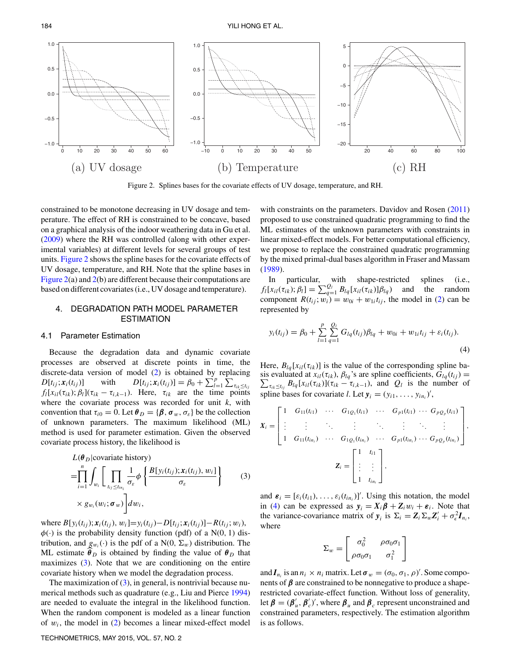<span id="page-5-1"></span>

Figure 2. Splines bases for the covariate effects of UV dosage, temperature, and RH.

<span id="page-5-5"></span>constrained to be monotone decreasing in UV dosage and temperature. The effect of RH is constrained to be concave, based on a graphical analysis of the indoor weathering data in Gu et al. [\(2009\)](#page-14-11) where the RH was controlled (along with other experimental variables) at different levels for several groups of test units. [Figure 2](#page-5-1) shows the spline bases for the covariate effects of UV dosage, temperature, and RH. Note that the spline bases in [Figure 2\(](#page-5-1)a) and [2\(](#page-5-1)b) are different because their computations are based on different covariates (i.e., UV dosage and temperature).

## <span id="page-5-2"></span>4. DEGRADATION PATH MODEL PARAMETER ESTIMATION

#### 4.1 Parameter Estimation

Because the degradation data and dynamic covariate processes are observed at discrete points in time, the discrete-data version of model (2) is obtained by replacing *D*[*t<sub>ij</sub>*; *x*<sub>*i*</sub>(*t<sub>ij</sub>*)] with  $D[t_{ij}$ ;  $x_i(t_{ij})] = \beta_0 + \sum_{l=1}^{p} \sum_{\tau_{ik} \le t_{ij}}$  $f_l[x_{il}(\tau_{ik}); \beta_l](\tau_{ik} - \tau_{i,k-1})$ *.* Here,  $\tau_{ik}$  are the time points where the covariate process was recorded for unit *k*, with convention that  $\tau_{i0} = 0$ . Let  $\theta_D = {\beta, \sigma_w, \sigma_{\varepsilon}}$  be the collection of unknown parameters. The maximum likelihood (ML) method is used for parameter estimation. Given the observed covariate process history, the likelihood is

$$
L(\theta_D|\text{covariate history})
$$
  
=
$$
\prod_{i=1}^n \int_{w_i} \left[ \prod_{t_{ij} \le t_{in_i}} \frac{1}{\sigma_{\varepsilon}} \phi \left\{ \frac{B[y_i(t_{ij}); x_i(t_{ij}), w_i]}{\sigma_{\varepsilon}} \right\} \right]
$$
(3)  
\$\times g\_{w\_i}(w\_i; \sigma\_w)\$
$$
d w_i,
$$

where  $B[y_i(t_{ij}); x_i(t_{ij}), w_i] = y_i(t_{ij}) - D[t_{ij}; x_i(t_{ij})] - R(t_{ij}; w_i),$  $\phi(\cdot)$  is the probability density function (pdf) of a N(0, 1) distribution, and  $g_{w_i}(\cdot)$  is the pdf of a N(0,  $\Sigma_w$ ) distribution. The ML estimate  $\theta_D$  is obtained by finding the value of  $\theta_D$  that maximizes (3). Note that we are conditioning on the entire covariate history when we model the degradation process.

The maximization of  $(3)$ , in general, is nontrivial because numerical methods such as quadrature (e.g., Liu and Pierce [1994\)](#page-14-14) are needed to evaluate the integral in the likelihood function. When the random component is modeled as a linear function of  $w_i$ , the model in  $(2)$  becomes a linear mixed-effect model

<span id="page-5-3"></span>with constraints on the parameters. Davidov and Rosen [\(2011\)](#page-14-15) proposed to use constrained quadratic programming to find the ML estimates of the unknown parameters with constraints in linear mixed-effect models. For better computational efficiency, we propose to replace the constrained quadratic programming by the mixed primal-dual bases algorithm in Fraser and Massam [\(1989\)](#page-14-16).

<span id="page-5-4"></span>In particular, with shape-restricted splines (i.e.,  $f_l[x_{il}(\tau_{ik}); \beta_l] = \sum_{q=1}^{Q_l} B_{lq}[x_{il}(\tau_{ik})] \beta_{lq}$  and the random component  $R(t_{ij}; w_i) = w_{0i} + w_{1i}t_{ij}$ , the model in (2) can be represented by

$$
y_i(t_{ij}) = \beta_0 + \sum_{l=1}^p \sum_{q=1}^{Q_l} G_{lq}(t_{ij})\beta_{lq} + w_{0i} + w_{1i}t_{ij} + \varepsilon_i(t_{ij}).
$$
\n(4)

<span id="page-5-0"></span>Here,  $B_{lq}[x_{il}(\tau_{ik})]$  is the value of the corresponding spline basis evaluated at  $x_{il}(\tau_{ik})$ ,  $\beta_{lq}$ 's are spline coefficients,  $\bar{G}_{lq}(t_{ij}) =$  $\sum_{\tau_{ik} \leq t_{ij}} B_{lq}[x_{il}(\tau_{ik})](\tau_{ik} - \tau_{i,k-1})$ , and  $Q_l$  is the number of spline bases for covariate *l*. Let  $y_i = (y_{i1}, \ldots, y_{in_i})'$ ,

$$
X_{i} = \begin{bmatrix} 1 & G_{11}(t_{i1}) & \cdots & G_{1Q_{1}}(t_{i1}) & \cdots & G_{p1}(t_{i1}) & \cdots & G_{pQ_{p}}(t_{i1}) \\ \vdots & \vdots & \ddots & \vdots & \ddots & \vdots & \ddots & \vdots \\ 1 & G_{11}(t_{in_{i}}) & \cdots & G_{1Q_{1}}(t_{in_{i}}) & \cdots & G_{p1}(t_{in_{i}}) & \cdots & G_{pQ_{p}}(t_{in_{i}}) \\ & & & Z_{i} = \begin{bmatrix} 1 & t_{i1} \\ \vdots & \vdots \\ 1 & t_{in_{i}} \end{bmatrix},
$$

and  $\boldsymbol{\varepsilon}_i = [\varepsilon_i(t_{i1}), \dots, \varepsilon_i(t_{in_i})]'$ . Using this notation, the model in (4) can be expressed as  $y_i = X_i \beta + Z_i w_i + \varepsilon_i$ . Note that the variance-covariance matrix of  $y_i$  is  $\Sigma_i = Z_i \Sigma_w Z_i' + \sigma_\epsilon^2 I_{n_i}$ , where

$$
\Sigma_w = \begin{bmatrix} \sigma_0^2 & \rho \sigma_0 \sigma_1 \\ \rho \sigma_0 \sigma_1 & \sigma_1^2 \end{bmatrix}
$$

<span id="page-5-6"></span>and  $I_{n_i}$  is an  $n_i \times n_i$  matrix. Let  $\sigma_w = (\sigma_0, \sigma_1, \rho)'$ . Some components of  $\beta$  are constrained to be nonnegative to produce a shaperestricted covariate-effect function. Without loss of generality, let  $\beta = (\beta'_u, \beta'_c)'$ , where  $\beta_u$  and  $\beta_c$  represent unconstrained and constrained parameters, respectively. The estimation algorithm is as follows.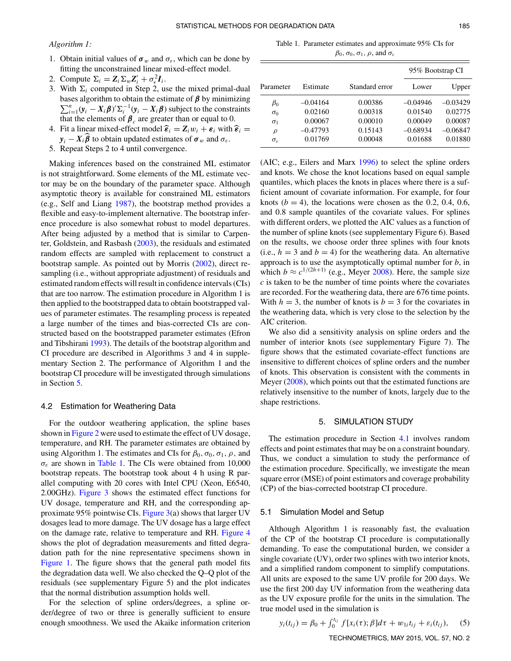*Algorithm 1:*

- 1. Obtain initial values of  $\sigma_w$  and  $\sigma_{\varepsilon}$ , which can be done by fitting the unconstrained linear mixed-effect model.
- 2. Compute  $\Sigma_i = Z_i \Sigma_w Z'_i + \sigma_\epsilon^2 I_i$ .
- 3. With  $\Sigma_i$  computed in Step 2, use the mixed primal-dual  $\sum_{i=1}^{n} (y_i - X_i \boldsymbol{\beta})^{\prime} \Sigma_i^{-1} (y_i - X_i \boldsymbol{\beta})$  subject to the constraints bases algorithm to obtain the estimate of *<sup>β</sup>* by minimizing *<sup>n</sup>* that the elements of  $\beta_c$  are greater than or equal to 0.
- 4. Fit a linear mixed-effect model  $\hat{\epsilon}_i = Z_i w_i + \epsilon_i$  with  $\hat{\epsilon}_i =$  $y_i - X_i \beta$  to obtain updated estimates of  $\sigma_w$  and  $\sigma_{\varepsilon}$ .
- 5. Repeat Steps 2 to 4 until convergence.

<span id="page-6-7"></span><span id="page-6-2"></span>Making inferences based on the constrained ML estimator is not straightforward. Some elements of the ML estimate vector may be on the boundary of the parameter space. Although asymptotic theory is available for constrained ML estimators (e.g., Self and Liang [1987\)](#page-14-17), the bootstrap method provides a flexible and easy-to-implement alternative. The bootstrap inference procedure is also somewhat robust to model departures. After being adjusted by a method that is similar to Carpenter, Goldstein, and Rasbash [\(2003\)](#page-14-18), the residuals and estimated random effects are sampled with replacement to construct a bootstrap sample. As pointed out by Morris [\(2002\)](#page-14-19), direct resampling (i.e., without appropriate adjustment) of residuals and estimated random effects will result in confidence intervals (CIs) that are too narrow. The estimation procedure in Algorithm 1 is then applied to the bootstrapped data to obtain bootstrapped values of parameter estimates. The resampling process is repeated a large number of the times and bias-corrected CIs are constructed based on the bootstrapped parameter estimates (Efron and Tibshirani [1993\)](#page-14-20). The details of the bootstrap algorithm and CI procedure are described in Algorithms 3 and 4 in supplementary Section 2. The performance of Algorithm 1 and the bootstrap CI procedure will be investigated through simulations in Section [5.](#page-6-0)

#### <span id="page-6-3"></span>4.2 Estimation for Weathering Data

For the outdoor weathering application, the spline bases shown in [Figure 2](#page-5-1) were used to estimate the effect of UV dosage, temperature, and RH. The parameter estimates are obtained by using Algorithm 1. The estimates and CIs for  $\beta_0$ ,  $\sigma_0$ ,  $\sigma_1$ ,  $\rho$ , and *σε* are shown in [Table 1.](#page-6-1) The CIs were obtained from 10,000 bootstrap repeats. The bootstrap took about 4 h using R parallel computing with 20 cores with Intel CPU (Xeon, E6540, 2.00GHz). [Figure 3](#page-7-0) shows the estimated effect functions for UV dosage, temperature and RH, and the corresponding approximate 95% pointwise CIs. [Figure 3\(](#page-7-0)a) shows that larger UV dosages lead to more damage. The UV dosage has a large effect on the damage rate, relative to temperature and RH. [Figure 4](#page-7-1) shows the plot of degradation measurements and fitted degradation path for the nine representative specimens shown in [Figure 1.](#page-3-0) The figure shows that the general path model fits the degradation data well. We also checked the Q–Q plot of the residuals (see supplementary Figure 5) and the plot indicates that the normal distribution assumption holds well.

For the selection of spline orders/degrees, a spline order/degree of two or three is generally sufficient to ensure enough smoothness. We used the Akaike information criterion

<span id="page-6-1"></span>Table 1. Parameter estimates and approximate 95% CIs for *β*<sub>0</sub>*,*  $\sigma$ <sub>0</sub>*,*  $\sigma$ <sub>1</sub>*,*  $\rho$ *,* and  $\sigma$ <sub>ε</sub>

|                  |            |                | 95% Bootstrap CI |            |
|------------------|------------|----------------|------------------|------------|
| Parameter        | Estimate   | Standard error | Lower            | Upper      |
| $\beta_0$        | $-0.04164$ | 0.00386        | $-0.04946$       | $-0.03429$ |
| $\sigma_0$       | 0.02160    | 0.00318        | 0.01540          | 0.02775    |
| $\sigma_1$       | 0.00067    | 0.00010        | 0.00049          | 0.00087    |
| $\rho$           | $-0.47793$ | 0.15143        | $-0.68934$       | $-0.06847$ |
| $\sigma_{\rm c}$ | 0.01769    | 0.00048        | 0.01688          | 0.01880    |

<span id="page-6-4"></span>(AIC; e.g., Eilers and Marx [1996\)](#page-14-21) to select the spline orders and knots. We chose the knot locations based on equal sample quantiles, which places the knots in places where there is a sufficient amount of covariate information. For example, for four knots  $(b = 4)$ , the locations were chosen as the 0.2, 0.4, 0.6, and 0.8 sample quantiles of the covariate values. For splines with different orders, we plotted the AIC values as a function of the number of spline knots (see supplementary Figure 6). Based on the results, we choose order three splines with four knots (i.e.,  $h = 3$  and  $b = 4$ ) for the weathering data. An alternative approach is to use the asymptotically optimal number for *b*, in which  $b \approx c^{1/(2h+1)}$  (e.g., Meyer [2008\)](#page-14-13). Here, the sample size *c* is taken to be the number of time points where the covariates are recorded. For the weathering data, there are 676 time points. With  $h = 3$ , the number of knots is  $b = 3$  for the covariates in the weathering data, which is very close to the selection by the AIC criterion.

<span id="page-6-6"></span><span id="page-6-5"></span>We also did a sensitivity analysis on spline orders and the number of interior knots (see supplementary Figure 7). The figure shows that the estimated covariate-effect functions are insensitive to different choices of spline orders and the number of knots. This observation is consistent with the comments in Meyer [\(2008\)](#page-14-13), which points out that the estimated functions are relatively insensitive to the number of knots, largely due to the shape restrictions.

#### <span id="page-6-0"></span>5. SIMULATION STUDY

The estimation procedure in Section [4.1](#page-5-2) involves random effects and point estimates that may be on a constraint boundary. Thus, we conduct a simulation to study the performance of the estimation procedure. Specifically, we investigate the mean square error (MSE) of point estimators and coverage probability (CP) of the bias-corrected bootstrap CI procedure.

#### 5.1 Simulation Model and Setup

Although Algorithm 1 is reasonably fast, the evaluation of the CP of the bootstrap CI procedure is computationally demanding. To ease the computational burden, we consider a single covariate (UV), order two splines with two interior knots, and a simplified random component to simplify computations. All units are exposed to the same UV profile for 200 days. We use the first 200 day UV information from the weathering data as the UV exposure profile for the units in the simulation. The true model used in the simulation is

$$
y_i(t_{ij}) = \beta_0 + \int_0^{t_{ij}} f[x_i(\tau); \beta] d\tau + w_{1i}t_{ij} + \varepsilon_i(t_{ij}), \quad (5)
$$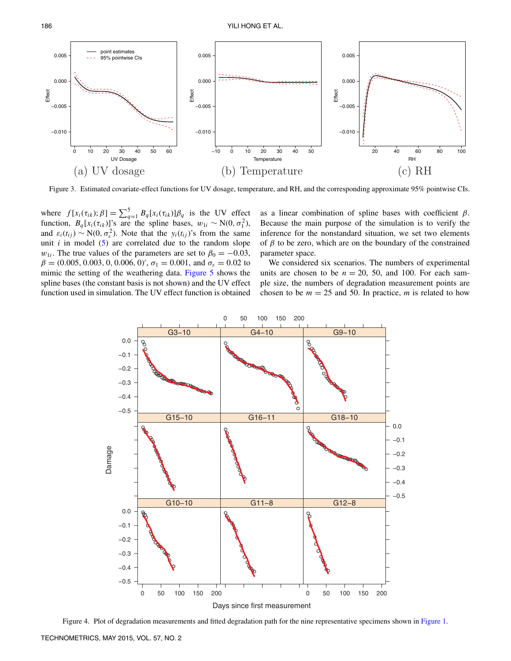<span id="page-7-0"></span>

Figure 3. Estimated covariate-effect functions for UV dosage, temperature, and RH, and the corresponding approximate 95% pointwise CIs.

where  $f[x_i(\tau_{ik}); \beta] = \sum_{q=1}^5 B_q[x_i(\tau_{ik})] \beta_q$  is the UV effect function,  $B_q[x_i(\tau_{ik})]$ 's are the spline bases,  $w_{1i} \sim N(0, \sigma_1^2)$ , and  $\varepsilon_i(t_{ij}) \sim N(0, \sigma_{\varepsilon}^2)$ . Note that the  $y_i(t_{ij})$ 's from the same unit  $i$  in model  $(5)$  are correlated due to the random slope *w*<sub>1*i*</sub>. The true values of the parameters are set to  $\beta_0 = -0.03$ ,  $\beta = (0.005, 0.003, 0, 0.006, 0)$ <sup>'</sup>,  $\sigma_1 = 0.001$ , and  $\sigma_{\varepsilon} = 0.02$  to mimic the setting of the weathering data. [Figure 5](#page-8-1) shows the spline bases (the constant basis is not shown) and the UV effect function used in simulation. The UV effect function is obtained

as a linear combination of spline bases with coefficient *β*. Because the main purpose of the simulation is to verify the inference for the nonstandard situation, we set two elements of  $\beta$  to be zero, which are on the boundary of the constrained parameter space.

We considered six scenarios. The numbers of experimental units are chosen to be  $n = 20$ , 50, and 100. For each sample size, the numbers of degradation measurement points are chosen to be  $m = 25$  and 50. In practice, m is related to how

<span id="page-7-1"></span>

Figure 4. Plot of degradation measurements and fitted degradation path for the nine representative specimens shown in [Figure 1.](#page-3-0)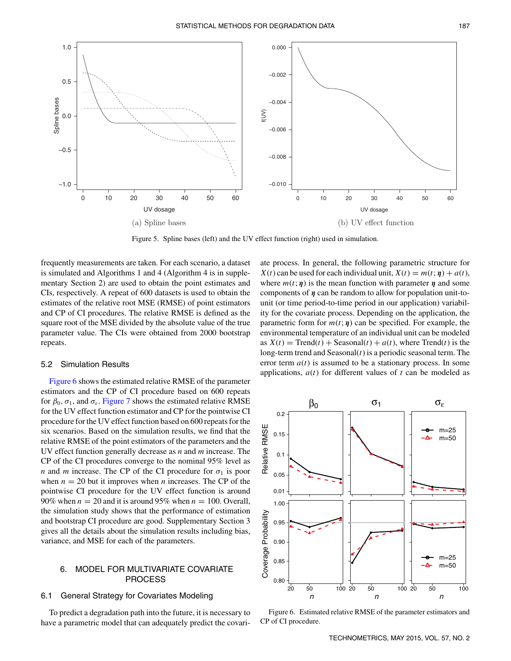<span id="page-8-1"></span>

Figure 5. Spline bases (left) and the UV effect function (right) used in simulation.

frequently measurements are taken. For each scenario, a dataset is simulated and Algorithms 1 and 4 (Algorithm 4 is in supplementary Section 2) are used to obtain the point estimates and CIs, respectively. A repeat of 600 datasets is used to obtain the estimates of the relative root MSE (RMSE) of point estimators and CP of CI procedures. The relative RMSE is defined as the square root of the MSE divided by the absolute value of the true parameter value. The CIs were obtained from 2000 bootstrap repeats.

#### 5.2 Simulation Results

[Figure 6](#page-8-2) shows the estimated relative RMSE of the parameter estimators and the CP of CI procedure based on 600 repeats for  $\beta_0$ ,  $\sigma_1$ , and  $\sigma_{\varepsilon}$ . [Figure 7](#page-9-0) shows the estimated relative RMSE for the UV effect function estimator and CP for the pointwise CI procedure for the UV effect function based on 600 repeats for the six scenarios. Based on the simulation results, we find that the relative RMSE of the point estimators of the parameters and the UV effect function generally decrease as *n* and *m* increase. The CP of the CI procedures converge to the nominal 95% level as *n* and *m* increase. The CP of the CI procedure for  $\sigma_1$  is poor when  $n = 20$  but it improves when *n* increases. The CP of the pointwise CI procedure for the UV effect function is around 90% when  $n = 20$  and it is around 95% when  $n = 100$ . Overall, the simulation study shows that the performance of estimation and bootstrap CI procedure are good. Supplementary Section 3 gives all the details about the simulation results including bias, variance, and MSE for each of the parameters.

## 6. MODEL FOR MULTIVARIATE COVARIATE PROCESS

## 6.1 General Strategy for Covariates Modeling

To predict a degradation path into the future, it is necessary to have a parametric model that can adequately predict the covari-

ate process. In general, the following parametric structure for *X*(*t*) can be used for each individual unit,  $X(t) = m(t; \eta) + a(t)$ , where  $m(t; \eta)$  is the mean function with parameter  $\eta$  and some components of *η* can be random to allow for population unit-tounit (or time period-to-time period in our application) variability for the covariate process. Depending on the application, the parametric form for  $m(t; \eta)$  can be specified. For example, the environmental temperature of an individual unit can be modeled as  $X(t) = \text{Trend}(t) + \text{Seasonal}(t) + a(t)$ , where  $\text{Trend}(t)$  is the long-term trend and Seasonal(*t*) is a periodic seasonal term. The error term  $a(t)$  is assumed to be a stationary process. In some applications,  $a(t)$  for different values of  $t$  can be modeled as

<span id="page-8-2"></span>

<span id="page-8-0"></span>Figure 6. Estimated relative RMSE of the parameter estimators and CP of CI procedure.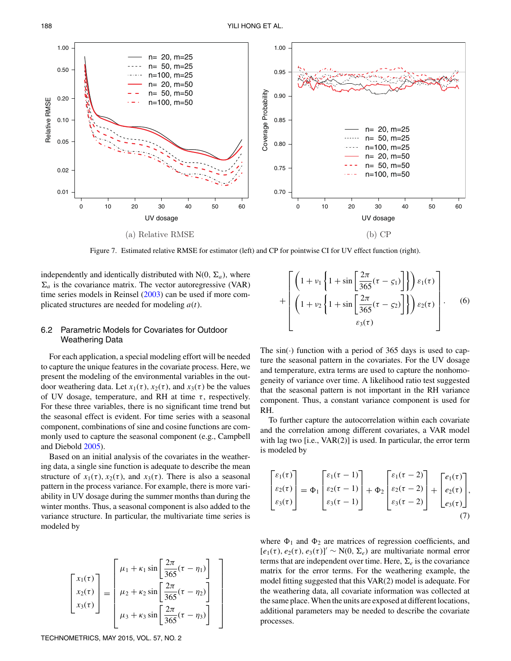<span id="page-9-0"></span>

<span id="page-9-2"></span>Figure 7. Estimated relative RMSE for estimator (left) and CP for pointwise CI for UV effect function (right).

independently and identically distributed with  $N(0, \Sigma_a)$ , where  $\Sigma_a$  is the covariance matrix. The vector autoregressive (VAR) time series models in Reinsel [\(2003\)](#page-14-22) can be used if more complicated structures are needed for modeling *a*(*t*).

## 6.2 Parametric Models for Covariates for Outdoor Weathering Data

For each application, a special modeling effort will be needed to capture the unique features in the covariate process. Here, we present the modeling of the environmental variables in the outdoor weathering data. Let  $x_1(\tau)$ ,  $x_2(\tau)$ , and  $x_3(\tau)$  be the values of UV dosage, temperature, and RH at time  $\tau$ , respectively. For these three variables, there is no significant time trend but the seasonal effect is evident. For time series with a seasonal component, combinations of sine and cosine functions are commonly used to capture the seasonal component (e.g., Campbell and Diebold [2005\)](#page-14-23).

<span id="page-9-1"></span>Based on an initial analysis of the covariates in the weathering data, a single sine function is adequate to describe the mean structure of  $x_1(\tau)$ ,  $x_2(\tau)$ , and  $x_3(\tau)$ . There is also a seasonal pattern in the process variance. For example, there is more variability in UV dosage during the summer months than during the winter months. Thus, a seasonal component is also added to the variance structure. In particular, the multivariate time series is modeled by

$$
\begin{bmatrix} x_1(\tau) \\ x_2(\tau) \\ x_3(\tau) \end{bmatrix} = \begin{bmatrix} \mu_1 + \kappa_1 \sin\left[\frac{2\pi}{365}(\tau - \eta_1)\right] \\ \mu_2 + \kappa_2 \sin\left[\frac{2\pi}{365}(\tau - \eta_2)\right] \\ \mu_3 + \kappa_3 \sin\left[\frac{2\pi}{365}(\tau - \eta_3)\right] \end{bmatrix}
$$

$$
+\left[\left(1+\nu_1\left\{1+\sin\left[\frac{2\pi}{365}(\tau-\zeta_1)\right]\right\}\right)\varepsilon_1(\tau)\right]+\left[\left(1+\nu_2\left\{1+\sin\left[\frac{2\pi}{365}(\tau-\zeta_2)\right]\right\}\right)\varepsilon_2(\tau)\right].
$$
 (6)

The  $sin(·)$  function with a period of 365 days is used to capture the seasonal pattern in the covariates. For the UV dosage and temperature, extra terms are used to capture the nonhomogeneity of variance over time. A likelihood ratio test suggested that the seasonal pattern is not important in the RH variance component. Thus, a constant variance component is used for RH.

To further capture the autocorrelation within each covariate and the correlation among different covariates, a VAR model with lag two [i.e., VAR(2)] is used. In particular, the error term is modeled by

$$
\begin{bmatrix} \varepsilon_1(\tau) \\ \varepsilon_2(\tau) \\ \varepsilon_3(\tau) \end{bmatrix} = \Phi_1 \begin{bmatrix} \varepsilon_1(\tau - 1) \\ \varepsilon_2(\tau - 1) \\ \varepsilon_3(\tau - 1) \end{bmatrix} + \Phi_2 \begin{bmatrix} \varepsilon_1(\tau - 2) \\ \varepsilon_2(\tau - 2) \\ \varepsilon_3(\tau - 2) \end{bmatrix} + \begin{bmatrix} e_1(\tau) \\ e_2(\tau) \\ e_3(\tau) \end{bmatrix},
$$
\n(7)

where  $\Phi_1$  and  $\Phi_2$  are matrices of regression coefficients, and  $[e_1(\tau), e_2(\tau), e_3(\tau)]' \sim N(0, \Sigma_e)$  are multivariate normal error terms that are independent over time. Here,  $\Sigma_e$  is the covariance matrix for the error terms. For the weathering example, the model fitting suggested that this VAR(2) model is adequate. For the weathering data, all covariate information was collected at the same place.When the units are exposed at different locations, additional parameters may be needed to describe the covariate processes.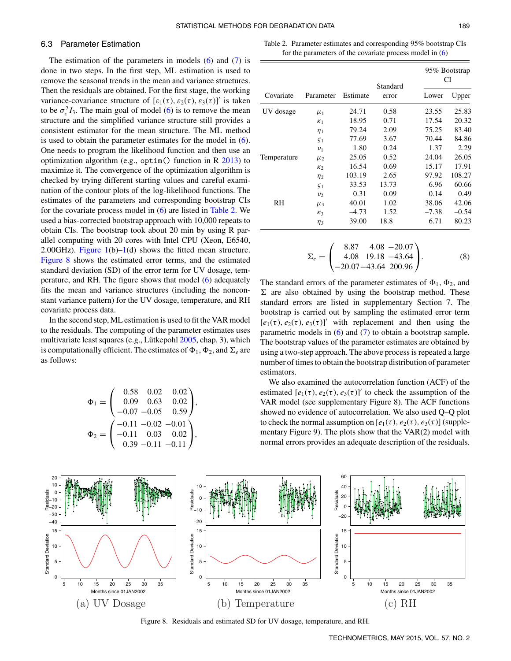#### 6.3 Parameter Estimation

The estimation of the parameters in models  $(6)$  and  $(7)$  is done in two steps. In the first step, ML estimation is used to remove the seasonal trends in the mean and variance structures. Then the residuals are obtained. For the first stage, the working variance-covariance structure of  $[\varepsilon_1(\tau), \varepsilon_2(\tau), \varepsilon_3(\tau)]'$  is taken to be  $\sigma_{\varepsilon}^2 I_3$ . The main goal of model (6) is to remove the mean structure and the simplified variance structure still provides a consistent estimator for the mean structure. The ML method is used to obtain the parameter estimates for the model in (6). One needs to program the likelihood function and then use an optimization algorithm (e.g., optim() function in  $R$  [2013\)](#page-14-24) to maximize it. The convergence of the optimization algorithm is checked by trying different starting values and careful examination of the contour plots of the log-likelihood functions. The estimates of the parameters and corresponding bootstrap CIs for the covariate process model in (6) are listed in [Table 2.](#page-10-0) We used a bias-corrected bootstrap approach with 10,000 repeats to obtain CIs. The bootstrap took about 20 min by using R parallel computing with 20 cores with Intel CPU (Xeon, E6540, 2.00GHz). Figure  $1(b)-1(d)$  shows the fitted mean structure. [Figure 8](#page-10-1) shows the estimated error terms, and the estimated standard deviation (SD) of the error term for UV dosage, temperature, and RH. The figure shows that model (6) adequately fits the mean and variance structures (including the nonconstant variance pattern) for the UV dosage, temperature, and RH covariate process data.

In the second step, ML estimation is used to fit the VAR model to the residuals. The computing of the parameter estimates uses multivariate least squares (e.g., Lütkepohl [2005,](#page-14-25) chap. 3), which is computationally efficient. The estimates of  $\Phi_1$ ,  $\Phi_2$ , and  $\Sigma_e$  are as follows:

$$
\Phi_1 = \begin{pmatrix} 0.58 & 0.02 & 0.02 \\ 0.09 & 0.63 & 0.02 \\ -0.07 & -0.05 & 0.59 \end{pmatrix},
$$

$$
\Phi_2 = \begin{pmatrix} -0.11 & -0.02 & -0.01 \\ -0.11 & 0.03 & 0.02 \\ 0.39 & -0.11 & -0.11 \end{pmatrix},
$$

<span id="page-10-0"></span>Table 2. Parameter estimates and corresponding 95% bootstrap CIs for the parameters of the covariate process model in (6)

<span id="page-10-3"></span>

|             | Parameter  | Estimate | Standard<br>error | 95% Bootstrap<br>CI |         |
|-------------|------------|----------|-------------------|---------------------|---------|
| Covariate   |            |          |                   | Lower               | Upper   |
| UV dosage   | $\mu_1$    | 24.71    | 0.58              | 23.55               | 25.83   |
|             | $\kappa_1$ | 18.95    | 0.71              | 17.54               | 20.32   |
|             | $\eta_1$   | 79.24    | 2.09              | 75.25               | 83.40   |
|             | $\zeta_1$  | 77.69    | 3.67              | 70.44               | 84.86   |
|             | $v_1$      | 1.80     | 0.24              | 1.37                | 2.29    |
| Temperature | $\mu_2$    | 25.05    | 0.52              | 24.04               | 26.05   |
|             | $\kappa_2$ | 16.54    | 0.69              | 15.17               | 17.91   |
|             | $\eta_2$   | 103.19   | 2.65              | 97.92               | 108.27  |
|             | $\zeta_1$  | 33.53    | 13.73             | 6.96                | 60.66   |
|             | $v_2$      | 0.31     | 0.09              | 0.14                | 0.49    |
| RH          | $\mu_3$    | 40.01    | 1.02              | 38.06               | 42.06   |
|             | $K_3$      | $-4.73$  | 1.52              | $-7.38$             | $-0.54$ |
|             | $\eta_3$   | 39.00    | 18.8              | 6.71                | 80.23   |

$$
\Sigma_e = \begin{pmatrix} 8.87 & 4.08 & -20.07 \\ 4.08 & 19.18 & -43.64 \\ -20.07 & -43.64 & 200.96 \end{pmatrix} . \tag{8}
$$

The standard errors of the parameter estimates of  $\Phi_1$ ,  $\Phi_2$ , and  $\Sigma$  are also obtained by using the bootstrap method. These standard errors are listed in supplementary Section 7. The bootstrap is carried out by sampling the estimated error term  $[e_1(\tau), e_2(\tau), e_3(\tau)]'$  with replacement and then using the parametric models in  $(6)$  and  $(7)$  to obtain a bootstrap sample. The bootstrap values of the parameter estimates are obtained by using a two-step approach. The above process is repeated a large number of times to obtain the bootstrap distribution of parameter estimators.

<span id="page-10-2"></span>We also examined the autocorrelation function (ACF) of the estimated  $[e_1(\tau), e_2(\tau), e_3(\tau)]'$  to check the assumption of the VAR model (see supplementary Figure 8). The ACF functions showed no evidence of autocorrelation. We also used Q–Q plot to check the normal assumption on  $[e_1(\tau), e_2(\tau), e_3(\tau)]$  (supplementary Figure 9). The plots show that the VAR(2) model with normal errors provides an adequate description of the residuals.

<span id="page-10-1"></span>

Figure 8. Residuals and estimated SD for UV dosage, temperature, and RH.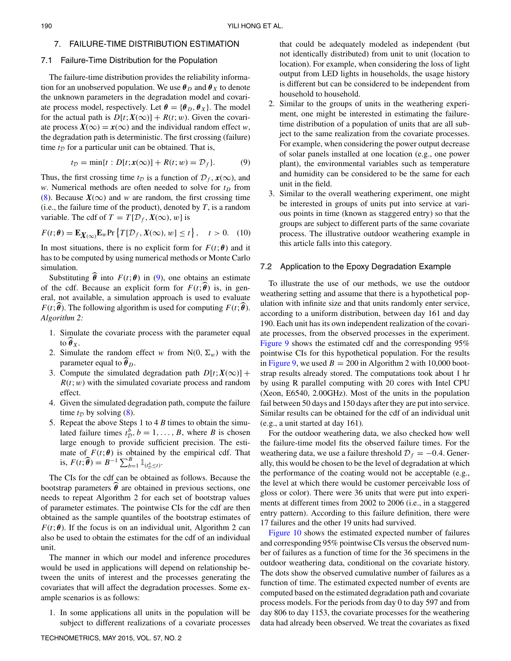### 7. FAILURE-TIME DISTRIBUTION ESTIMATION

#### 7.1 Failure-Time Distribution for the Population

The failure-time distribution provides the reliability information for an unobserved population. We use  $\theta_D$  and  $\theta_X$  to denote the unknown parameters in the degradation model and covariate process model, respectively. Let  $\theta = {\theta_D, \theta_X}$ . The model for the actual path is  $D[t; X(\infty)] + R(t; w)$ . Given the covariate process  $X(\infty) = x(\infty)$  and the individual random effect *w*, the degradation path is deterministic. The first crossing (failure) time  $t_D$  for a particular unit can be obtained. That is,

$$
t_{\mathcal{D}} = \min\{t : D[t; \mathbf{x}(\infty)] + R(t; w) = \mathcal{D}_f\}.
$$
 (9)

Thus, the first crossing time  $t<sub>D</sub>$  is a function of  $D<sub>f</sub>$ ,  $x(\infty)$ , and *w*. Numerical methods are often needed to solve for  $t_D$  from (8). Because  $X(\infty)$  and *w* are random, the first crossing time (i.e., the failure time of the product), denoted by  $T$ , is a random variable. The cdf of  $T = T[D_f, X(\infty), w]$  is

$$
F(t; \theta) = \mathbf{E}_{X(\infty)} \mathbf{E}_w \text{Pr} \left\{ T[\mathcal{D}_f, X(\infty), w] \le t \right\}, \quad t > 0. \quad (10)
$$

In most situations, there is no explicit form for  $F(t; \theta)$  and it has to be computed by using numerical methods or Monte Carlo simulation.

Substituting  $\hat{\theta}$  into  $F(t;\theta)$  in (9), one obtains an estimate of the cdf. Because an explicit form for  $F(t; \theta)$  is, in general, not available, a simulation approach is used to evaluate *F*(*t*; $\widehat{\theta}$ ). The following algorithm is used for computing *F*(*t*; $\widehat{\theta}$ ). *Algorithm 2:*

- 1. Simulate the covariate process with the parameter equal to  $\ddot{\theta}_X$ .
- 2. Simulate the random effect *w* from  $N(0, \Sigma_w)$  with the parameter equal to  $\ddot{\theta}_D$ .
- 3. Compute the simulated degradation path  $D[t; X(\infty)]$  +  $R(t; w)$  with the simulated covariate process and random effect.
- 4. Given the simulated degradation path, compute the failure time  $t_D$  by solving (8).
- 5. Repeat the above Steps 1 to 4 *B* times to obtain the simulated failure times  $t_D^b, b = 1, \ldots, B$ , where *B* is chosen large enough to provide sufficient precision. The estimate of  $F(t; \theta)$  is obtained by the empirical cdf. That is,  $F(t; \widehat{\theta}) = B^{-1} \sum_{b=1}^{B} \mathbb{1}_{(t_{\mathcal{D}}^b \leq t)}$ .

The CIs for the cdf can be obtained as follows. Because the bootstrap parameters  $\hat{\theta}$  are obtained in previous sections, one needs to repeat Algorithm 2 for each set of bootstrap values of parameter estimates. The pointwise CIs for the cdf are then obtained as the sample quantiles of the bootstrap estimates of  $F(t; \theta)$ . If the focus is on an individual unit, Algorithm 2 can also be used to obtain the estimates for the cdf of an individual unit.

The manner in which our model and inference procedures would be used in applications will depend on relationship between the units of interest and the processes generating the covariates that will affect the degradation processes. Some example scenarios is as follows:

1. In some applications all units in the population will be subject to different realizations of a covariate processes <span id="page-11-0"></span>that could be adequately modeled as independent (but not identically distributed) from unit to unit (location to location). For example, when considering the loss of light output from LED lights in households, the usage history is different but can be considered to be independent from household to household.

- <span id="page-11-1"></span>2. Similar to the groups of units in the weathering experiment, one might be interested in estimating the failuretime distribution of a population of units that are all subject to the same realization from the covariate processes. For example, when considering the power output decrease of solar panels installed at one location (e.g., one power plant), the environmental variables such as temperature and humidity can be considered to be the same for each unit in the field.
- 3. Similar to the overall weathering experiment, one might be interested in groups of units put into service at various points in time (known as staggered entry) so that the groups are subject to different parts of the same covariate process. The illustrative outdoor weathering example in this article falls into this category.

#### 7.2 Application to the Epoxy Degradation Example

To illustrate the use of our methods, we use the outdoor weathering setting and assume that there is a hypothetical population with infinite size and that units randomly enter service, according to a uniform distribution, between day 161 and day 190. Each unit has its own independent realization of the covariate processes, from the observed processes in the experiment. [Figure 9](#page-12-1) shows the estimated cdf and the corresponding 95% pointwise CIs for this hypothetical population. For the results in [Figure 9,](#page-12-1) we used  $B = 200$  in Algorithm 2 with 10,000 bootstrap results already stored. The computations took about 1 hr by using R parallel computing with 20 cores with Intel CPU (Xeon, E6540, 2.00GHz). Most of the units in the population fail between 50 days and 150 days after they are put into service. Similar results can be obtained for the cdf of an individual unit (e.g., a unit started at day 161).

For the outdoor weathering data, we also checked how well the failure-time model fits the observed failure times. For the weathering data, we use a failure threshold  $\mathcal{D}_f = -0.4$ . Generally, this would be chosen to be the level of degradation at which the performance of the coating would not be acceptable (e.g., the level at which there would be customer perceivable loss of gloss or color). There were 36 units that were put into experiments at different times from 2002 to 2006 (i.e., in a staggered entry pattern). According to this failure definition, there were 17 failures and the other 19 units had survived.

[Figure 10](#page-12-2) shows the estimated expected number of failures and corresponding 95% pointwise CIs versus the observed number of failures as a function of time for the 36 specimens in the outdoor weathering data, conditional on the covariate history. The dots show the observed cumulative number of failures as a function of time. The estimated expected number of events are computed based on the estimated degradation path and covariate process models. For the periods from day 0 to day 597 and from day 806 to day 1153, the covariate processes for the weathering data had already been observed. We treat the covariates as fixed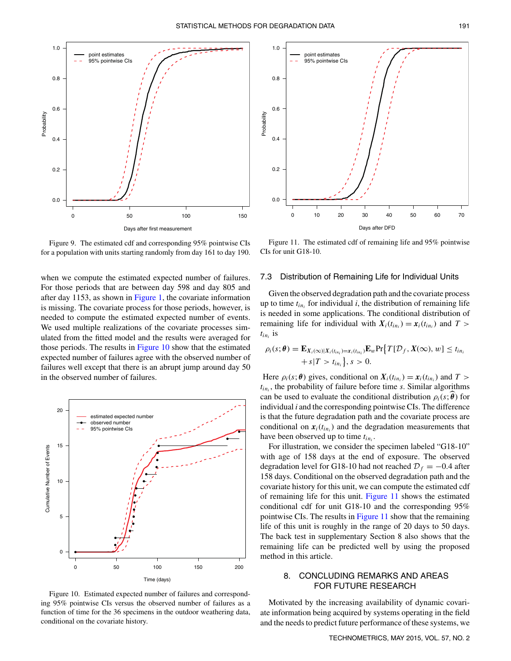<span id="page-12-1"></span>

Figure 9. The estimated cdf and corresponding 95% pointwise CIs for a population with units starting randomly from day 161 to day 190.

when we compute the estimated expected number of failures. For those periods that are between day 598 and day 805 and after day 1153, as shown in [Figure 1,](#page-3-0) the covariate information is missing. The covariate process for those periods, however, is needed to compute the estimated expected number of events. We used multiple realizations of the covariate processes simulated from the fitted model and the results were averaged for those periods. The results in [Figure 10](#page-12-2) show that the estimated expected number of failures agree with the observed number of failures well except that there is an abrupt jump around day 50 in the observed number of failures.

<span id="page-12-2"></span>

Figure 10. Estimated expected number of failures and corresponding 95% pointwise CIs versus the observed number of failures as a function of time for the 36 specimens in the outdoor weathering data, conditional on the covariate history.

<span id="page-12-3"></span>

Figure 11. The estimated cdf of remaining life and 95% pointwise CIs for unit G18-10.

#### 7.3 Distribution of Remaining Life for Individual Units

Given the observed degradation path and the covariate process up to time  $t_{in}$  for individual *i*, the distribution of remaining life is needed in some applications. The conditional distribution of remaining life for individual with  $X_i(t_{in_i}) = x_i(t_{in_i})$  and  $T >$  $t_{in_i}$  is

$$
\rho_i(s; \theta) = \mathbf{E}_{X_i(\infty)|X_i(t_{in_i})=x_i(t_{in_i})} \mathbf{E}_w \Pr \{ T[D_f, X(\infty), w] \le t_{in_i} + s | T > t_{in_i} \}, s > 0.
$$

Here  $\rho_i(s; \theta)$  gives, conditional on  $X_i(t_{in_i}) = x_i(t_{in_i})$  and  $T >$  $t_{in_i}$ , the probability of failure before time *s*. Similar algorithms can be used to evaluate the conditional distribution  $\rho_i(s; \theta)$  for individual *i* and the corresponding pointwise CIs. The difference is that the future degradation path and the covariate process are conditional on  $x_i(t_{in_i})$  and the degradation measurements that have been observed up to time *tini* .

For illustration, we consider the specimen labeled "G18-10" with age of 158 days at the end of exposure. The observed degradation level for G18-10 had not reached  $\mathcal{D}_f = -0.4$  after 158 days. Conditional on the observed degradation path and the covariate history for this unit, we can compute the estimated cdf of remaining life for this unit. [Figure 11](#page-12-3) shows the estimated conditional cdf for unit G18-10 and the corresponding 95% pointwise CIs. The results in [Figure 11](#page-12-3) show that the remaining life of this unit is roughly in the range of 20 days to 50 days. The back test in supplementary Section 8 also shows that the remaining life can be predicted well by using the proposed method in this article.

## <span id="page-12-0"></span>8. CONCLUDING REMARKS AND AREAS FOR FUTURE RESEARCH

Motivated by the increasing availability of dynamic covariate information being acquired by systems operating in the field and the needs to predict future performance of these systems, we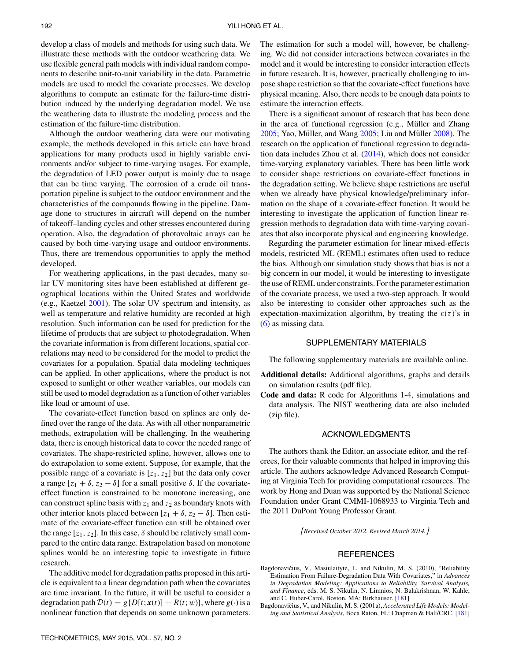develop a class of models and methods for using such data. We illustrate these methods with the outdoor weathering data. We use flexible general path models with individual random components to describe unit-to-unit variability in the data. Parametric models are used to model the covariate processes. We develop algorithms to compute an estimate for the failure-time distribution induced by the underlying degradation model. We use the weathering data to illustrate the modeling process and the estimation of the failure-time distribution.

Although the outdoor weathering data were our motivating example, the methods developed in this article can have broad applications for many products used in highly variable environments and/or subject to time-varying usages. For example, the degradation of LED power output is mainly due to usage that can be time varying. The corrosion of a crude oil transportation pipeline is subject to the outdoor environment and the characteristics of the compounds flowing in the pipeline. Damage done to structures in aircraft will depend on the number of takeoff–landing cycles and other stresses encountered during operation. Also, the degradation of photovoltaic arrays can be caused by both time-varying usage and outdoor environments. Thus, there are tremendous opportunities to apply the method developed.

<span id="page-13-1"></span>For weathering applications, in the past decades, many solar UV monitoring sites have been established at different geographical locations within the United States and worldwide (e.g., Kaetzel [2001\)](#page-14-26). The solar UV spectrum and intensity, as well as temperature and relative humidity are recorded at high resolution. Such information can be used for prediction for the lifetime of products that are subject to photodegradation. When the covariate information is from different locations, spatial correlations may need to be considered for the model to predict the covariates for a population. Spatial data modeling techniques can be applied. In other applications, where the product is not exposed to sunlight or other weather variables, our models can still be used to model degradation as a function of other variables like load or amount of use.

The covariate-effect function based on splines are only defined over the range of the data. As with all other nonparametric methods, extrapolation will be challenging. In the weathering data, there is enough historical data to cover the needed range of covariates. The shape-restricted spline, however, allows one to do extrapolation to some extent. Suppose, for example, that the possible range of a covariate is [*z*1*, z*2] but the data only cover a range  $[z_1 + \delta, z_2 - \delta]$  for a small positive  $\delta$ . If the covariateeffect function is constrained to be monotone increasing, one can construct spline basis with  $z_1$  and  $z_2$  as boundary knots with other interior knots placed between  $[z_1 + \delta, z_2 - \delta]$ . Then estimate of the covariate-effect function can still be obtained over the range  $[z_1, z_2]$ . In this case,  $\delta$  should be relatively small compared to the entire data range. Extrapolation based on monotone splines would be an interesting topic to investigate in future research.

The additive model for degradation paths proposed in this article is equivalent to a linear degradation path when the covariates are time invariant. In the future, it will be useful to consider a degradation path  $\mathcal{D}(t) = g\{D[t; \mathbf{x}(t)] + R(t; w)\}\)$ , where  $g(\cdot)$  is a nonlinear function that depends on some unknown parameters. The estimation for such a model will, however, be challenging. We did not consider interactions between covariates in the model and it would be interesting to consider interaction effects in future research. It is, however, practically challenging to impose shape restriction so that the covariate-effect functions have physical meaning. Also, there needs to be enough data points to estimate the interaction effects.

<span id="page-13-5"></span><span id="page-13-4"></span><span id="page-13-3"></span><span id="page-13-2"></span>There is a significant amount of research that has been done in the area of functional regression (e.g., Müller and Zhang  $2005$ ; Yao, Müller, and Wang  $2005$ ; Liu and Müller  $2008$ ). The research on the application of functional regression to degradation data includes Zhou et al. [\(2014\)](#page-14-4), which does not consider time-varying explanatory variables. There has been little work to consider shape restrictions on covariate-effect functions in the degradation setting. We believe shape restrictions are useful when we already have physical knowledge/preliminary information on the shape of a covariate-effect function. It would be interesting to investigate the application of function linear regression methods to degradation data with time-varying covariates that also incorporate physical and engineering knowledge.

Regarding the parameter estimation for linear mixed-effects models, restricted ML (REML) estimates often used to reduce the bias. Although our simulation study shows that bias is not a big concern in our model, it would be interesting to investigate the use of REML under constraints. For the parameter estimation of the covariate process, we used a two-step approach. It would also be interesting to consider other approaches such as the expectation-maximization algorithm, by treating the  $\varepsilon(\tau)$ 's in (6) as missing data.

#### SUPPLEMENTARY MATERIALS

The following supplementary materials are available online.

- **Additional details:** Additional algorithms, graphs and details on simulation results (pdf file).
- **Code and data:** R code for Algorithms 1-4, simulations and data analysis. The NIST weathering data are also included (zip file).

### ACKNOWLEDGMENTS

The authors thank the Editor, an associate editor, and the referees, for their valuable comments that helped in improving this article. The authors acknowledge Advanced Research Computing at Virginia Tech for providing computational resources. The work by Hong and Duan was supported by the National Science Foundation under Grant CMMI-1068933 to Virginia Tech and the 2011 DuPont Young Professor Grant.

*[Received October 2012. Revised March 2014.]*

#### <span id="page-13-0"></span>**REFERENCES**

- Bagdonavičius, V., Masiulaitytė, I., and Nikulin, M. S. (2010), "Reliability Estimation From Failure-Degradation Data With Covariates," in *Advances in Degradation Modeling: Applications to Reliability, Survival Analysis, and Finance*, eds. M. S. Nikulin, N. Limnios, N. Balakrishnan, W. Kahle, and C. Huber-Carol, Boston, MA: Birkhäuser. [[181\]](#page-2-1)
- Bagdonavičius, V., and Nikulin, M. S. (2001a), *Accelerated Life Models: Modeling and Statistical Analysis*, Boca Raton, FL: Chapman & Hall/CRC. [\[181\]](#page-2-2)